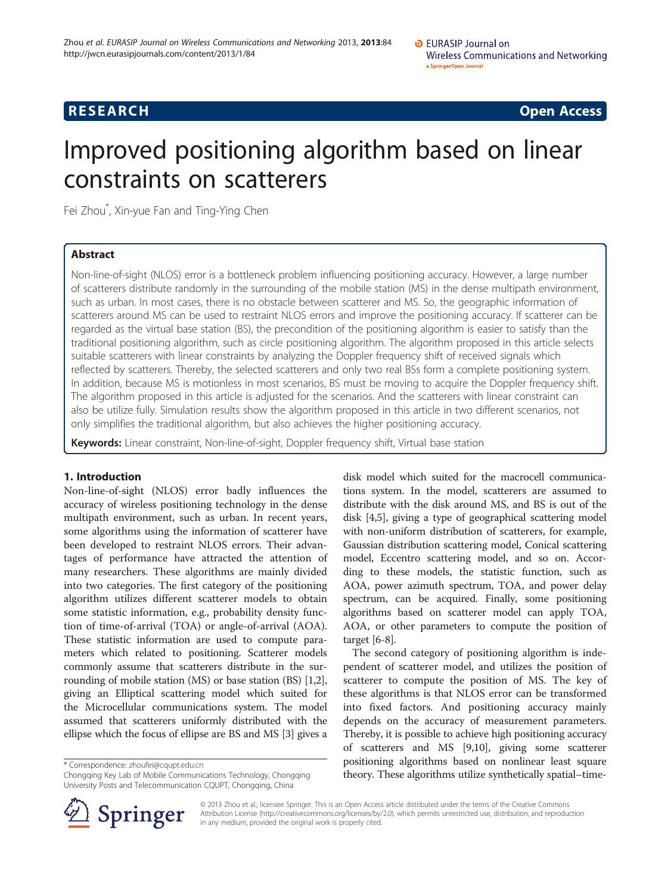# **RESEARCH RESEARCH CONSUMING ACCESS**

# Improved positioning algorithm based on linear constraints on scatterers

Fei Zhou\* , Xin-yue Fan and Ting-Ying Chen

# Abstract

Non-line-of-sight (NLOS) error is a bottleneck problem influencing positioning accuracy. However, a large number of scatterers distribute randomly in the surrounding of the mobile station (MS) in the dense multipath environment, such as urban. In most cases, there is no obstacle between scatterer and MS. So, the geographic information of scatterers around MS can be used to restraint NLOS errors and improve the positioning accuracy. If scatterer can be regarded as the virtual base station (BS), the precondition of the positioning algorithm is easier to satisfy than the traditional positioning algorithm, such as circle positioning algorithm. The algorithm proposed in this article selects suitable scatterers with linear constraints by analyzing the Doppler frequency shift of received signals which reflected by scatterers. Thereby, the selected scatterers and only two real BSs form a complete positioning system. In addition, because MS is motionless in most scenarios, BS must be moving to acquire the Doppler frequency shift. The algorithm proposed in this article is adjusted for the scenarios. And the scatterers with linear constraint can also be utilize fully. Simulation results show the algorithm proposed in this article in two different scenarios, not only simplifies the traditional algorithm, but also achieves the higher positioning accuracy.

Keywords: Linear constraint, Non-line-of-sight, Doppler frequency shift, Virtual base station

# 1. Introduction

Non-line-of-sight (NLOS) error badly influences the accuracy of wireless positioning technology in the dense multipath environment, such as urban. In recent years, some algorithms using the information of scatterer have been developed to restraint NLOS errors. Their advantages of performance have attracted the attention of many researchers. These algorithms are mainly divided into two categories. The first category of the positioning algorithm utilizes different scatterer models to obtain some statistic information, e.g., probability density function of time-of-arrival (TOA) or angle-of-arrival (AOA). These statistic information are used to compute parameters which related to positioning. Scatterer models commonly assume that scatterers distribute in the surrounding of mobile station (MS) or base station (BS) [[1](#page-9-0),[2](#page-9-0)], giving an Elliptical scattering model which suited for the Microcellular communications system. The model assumed that scatterers uniformly distributed with the ellipse which the focus of ellipse are BS and MS [\[3](#page-9-0)] gives a

\* Correspondence: [zhoufei@cqupt.edu.cn](mailto:zhoufei@cqupt.edu.cn)

Chongqing Key Lab of Mobile Communications Technology, Chongqing University Posts and Telecommunication CQUPT, Chongqing, China

disk model which suited for the macrocell communications system. In the model, scatterers are assumed to distribute with the disk around MS, and BS is out of the disk [[4,5](#page-9-0)], giving a type of geographical scattering model with non-uniform distribution of scatterers, for example, Gaussian distribution scattering model, Conical scattering model, Eccentro scattering model, and so on. According to these models, the statistic function, such as AOA, power azimuth spectrum, TOA, and power delay spectrum, can be acquired. Finally, some positioning algorithms based on scatterer model can apply TOA, AOA, or other parameters to compute the position of target [\[6](#page-9-0)-[8\]](#page-9-0).

The second category of positioning algorithm is independent of scatterer model, and utilizes the position of scatterer to compute the position of MS. The key of these algorithms is that NLOS error can be transformed into fixed factors. And positioning accuracy mainly depends on the accuracy of measurement parameters. Thereby, it is possible to achieve high positioning accuracy of scatterers and MS [[9,10](#page-9-0)], giving some scatterer positioning algorithms based on nonlinear least square theory. These algorithms utilize synthetically spatial–time-



© 2013 Zhou et al.; licensee Springer. This is an Open Access article distributed under the terms of the Creative Commons Attribution License (http://creativecommons.org/licenses/by/2.0), which permits unrestricted use, distribution, and reproduction in any medium, provided the original work is properly cited.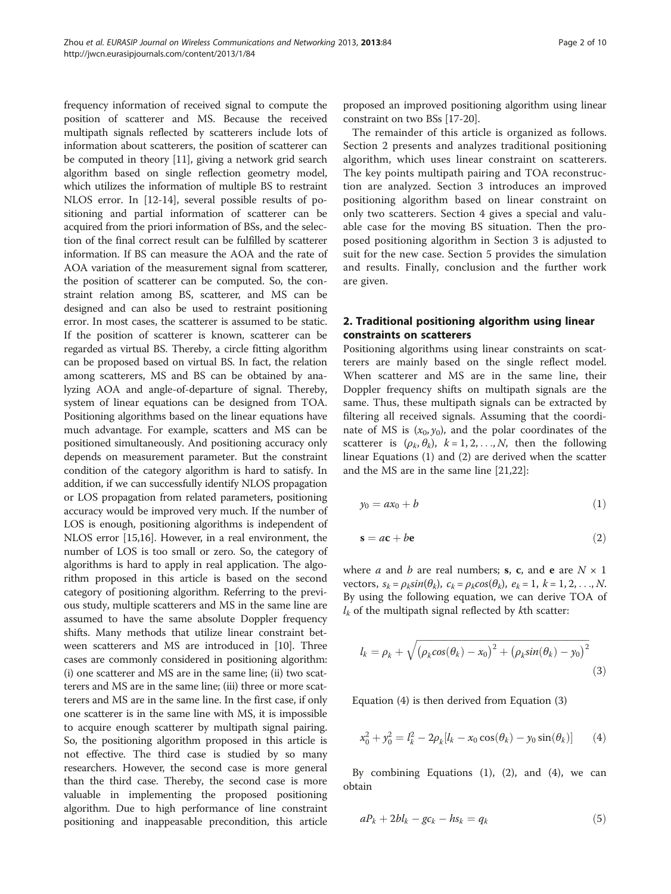<span id="page-1-0"></span>frequency information of received signal to compute the position of scatterer and MS. Because the received multipath signals reflected by scatterers include lots of information about scatterers, the position of scatterer can be computed in theory [\[11\]](#page-9-0), giving a network grid search algorithm based on single reflection geometry model, which utilizes the information of multiple BS to restraint NLOS error. In [[12-14\]](#page-9-0), several possible results of positioning and partial information of scatterer can be acquired from the priori information of BSs, and the selection of the final correct result can be fulfilled by scatterer information. If BS can measure the AOA and the rate of AOA variation of the measurement signal from scatterer, the position of scatterer can be computed. So, the constraint relation among BS, scatterer, and MS can be designed and can also be used to restraint positioning error. In most cases, the scatterer is assumed to be static. If the position of scatterer is known, scatterer can be regarded as virtual BS. Thereby, a circle fitting algorithm can be proposed based on virtual BS. In fact, the relation among scatterers, MS and BS can be obtained by analyzing AOA and angle-of-departure of signal. Thereby, system of linear equations can be designed from TOA. Positioning algorithms based on the linear equations have much advantage. For example, scatters and MS can be positioned simultaneously. And positioning accuracy only depends on measurement parameter. But the constraint condition of the category algorithm is hard to satisfy. In addition, if we can successfully identify NLOS propagation or LOS propagation from related parameters, positioning accuracy would be improved very much. If the number of LOS is enough, positioning algorithms is independent of NLOS error [\[15,16\]](#page-9-0). However, in a real environment, the number of LOS is too small or zero. So, the category of algorithms is hard to apply in real application. The algorithm proposed in this article is based on the second category of positioning algorithm. Referring to the previous study, multiple scatterers and MS in the same line are assumed to have the same absolute Doppler frequency shifts. Many methods that utilize linear constraint between scatterers and MS are introduced in [[10](#page-9-0)]. Three cases are commonly considered in positioning algorithm: (i) one scatterer and MS are in the same line; (ii) two scatterers and MS are in the same line; (iii) three or more scatterers and MS are in the same line. In the first case, if only one scatterer is in the same line with MS, it is impossible to acquire enough scatterer by multipath signal pairing. So, the positioning algorithm proposed in this article is not effective. The third case is studied by so many researchers. However, the second case is more general than the third case. Thereby, the second case is more valuable in implementing the proposed positioning algorithm. Due to high performance of line constraint positioning and inappeasable precondition, this article

proposed an improved positioning algorithm using linear constraint on two BSs [\[17-20\]](#page-9-0).

The remainder of this article is organized as follows. Section 2 presents and analyzes traditional positioning algorithm, which uses linear constraint on scatterers. The key points multipath pairing and TOA reconstruction are analyzed. Section [3](#page-2-0) introduces an improved positioning algorithm based on linear constraint on only two scatterers. Section [4](#page-4-0) gives a special and valuable case for the moving BS situation. Then the proposed positioning algorithm in Section [3](#page-2-0) is adjusted to suit for the new case. Section [5](#page-7-0) provides the simulation and results. Finally, conclusion and the further work are given.

# 2. Traditional positioning algorithm using linear constraints on scatterers

Positioning algorithms using linear constraints on scatterers are mainly based on the single reflect model. When scatterer and MS are in the same line, their Doppler frequency shifts on multipath signals are the same. Thus, these multipath signals can be extracted by filtering all received signals. Assuming that the coordinate of MS is  $(x_0, y_0)$ , and the polar coordinates of the scatterer is  $(\rho_k, \theta_k)$ ,  $k = 1, 2, ..., N$ , then the following linear Equations (1) and (2) are derived when the scatter and the MS are in the same line [\[21,22](#page-9-0)]:

$$
y_0 = ax_0 + b \tag{1}
$$

$$
s = ac + be \tag{2}
$$

where *a* and *b* are real numbers; **s**, **c**, and **e** are  $N \times 1$ vectors,  $s_k = \rho_k sin(\theta_k)$ ,  $c_k = \rho_k cos(\theta_k)$ ,  $e_k = 1$ ,  $k = 1, 2, ..., N$ . By using the following equation, we can derive TOA of  $l_k$  of the multipath signal reflected by kth scatter:

$$
l_k = \rho_k + \sqrt{\left(\rho_k \cos(\theta_k) - x_0\right)^2 + \left(\rho_k \sin(\theta_k) - y_0\right)^2}
$$
\n(3)

Equation (4) is then derived from Equation (3)

$$
x_0^2 + y_0^2 = l_k^2 - 2\rho_k[l_k - x_0 \cos(\theta_k) - y_0 \sin(\theta_k)] \qquad (4)
$$

By combining Equations (1), (2), and (4), we can obtain

$$
aP_k + 2bl_k - gc_k - hs_k = q_k \tag{5}
$$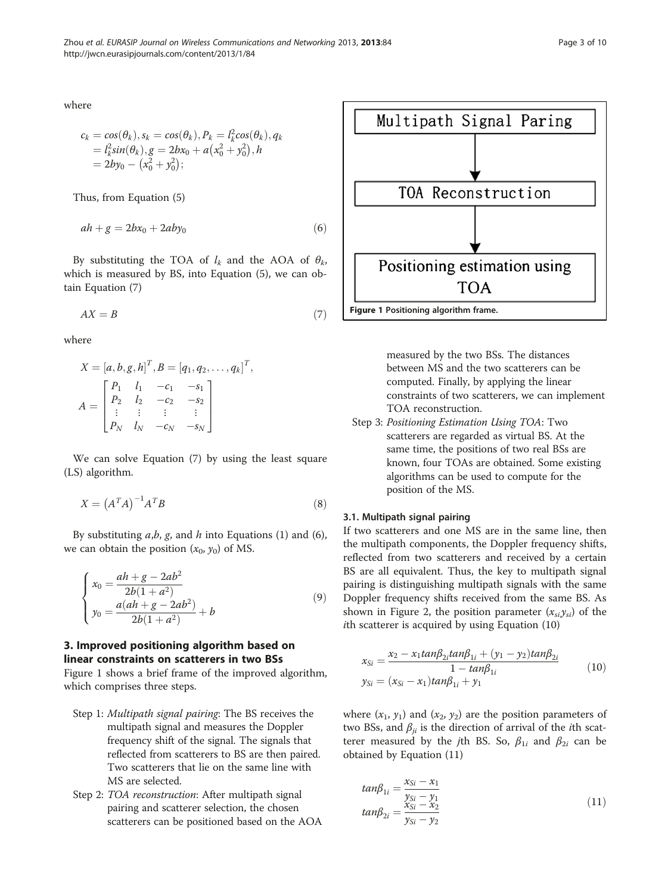<span id="page-2-0"></span>where

$$
c_k = cos(\theta_k), s_k = cos(\theta_k), P_k = l_k^2 cos(\theta_k), q_k
$$
  
=  $l_k^2 sin(\theta_k), g = 2bx_0 + a(x_0^2 + y_0^2), h$   
=  $2by_0 - (x_0^2 + y_0^2);$ 

Thus, from Equation [\(5](#page-1-0))

$$
ah + g = 2bx_0 + 2aby_0 \tag{6}
$$

By substituting the TOA of  $l_k$  and the AOA of  $\theta_k$ , which is measured by BS, into Equation [\(5](#page-1-0)), we can obtain Equation (7)

$$
AX = B \tag{7}
$$

where

$$
X = [a, b, g, h]^T, B = [q_1, q_2, \dots, q_k]^T,
$$
  

$$
A = \begin{bmatrix} P_1 & l_1 & -c_1 & -s_1 \\ P_2 & l_2 & -c_2 & -s_2 \\ \vdots & \vdots & \vdots & \vdots \\ P_N & l_N & -c_N & -s_N \end{bmatrix}
$$

We can solve Equation (7) by using the least square (LS) algorithm.

$$
X = \left(A^T A\right)^{-1} A^T B \tag{8}
$$

By substituting  $a,b, g$ , and h into Equations [\(1\)](#page-1-0) and (6), we can obtain the position  $(x_0, y_0)$  of MS.

$$
\begin{cases}\n x_0 = \frac{ah + g - 2ab^2}{2b(1 + a^2)} \\
 y_0 = \frac{a(ah + g - 2ab^2)}{2b(1 + a^2)} + b\n\end{cases}
$$
\n(9)

# 3. Improved positioning algorithm based on linear constraints on scatterers in two BSs

Figure 1 shows a brief frame of the improved algorithm, which comprises three steps.

- Step 1: Multipath signal pairing: The BS receives the multipath signal and measures the Doppler frequency shift of the signal. The signals that reflected from scatterers to BS are then paired. Two scatterers that lie on the same line with MS are selected.
- Step 2: TOA reconstruction: After multipath signal pairing and scatterer selection, the chosen scatterers can be positioned based on the AOA



measured by the two BSs. The distances between MS and the two scatterers can be computed. Finally, by applying the linear constraints of two scatterers, we can implement TOA reconstruction.

Step 3: Positioning Estimation Using TOA: Two scatterers are regarded as virtual BS. At the same time, the positions of two real BSs are known, four TOAs are obtained. Some existing algorithms can be used to compute for the position of the MS.

#### 3.1. Multipath signal pairing

If two scatterers and one MS are in the same line, then the multipath components, the Doppler frequency shifts, reflected from two scatterers and received by a certain BS are all equivalent. Thus, the key to multipath signal pairing is distinguishing multipath signals with the same Doppler frequency shifts received from the same BS. As shown in Figure [2,](#page-3-0) the position parameter  $(x_{si}y_{si})$  of the ith scatterer is acquired by using Equation (10)

$$
x_{Si} = \frac{x_2 - x_1 \tan \beta_{2i} \tan \beta_{1i} + (y_1 - y_2) \tan \beta_{2i}}{1 - \tan \beta_{1i}}
$$
  
\n
$$
y_{Si} = (x_{Si} - x_1) \tan \beta_{1i} + y_1
$$
\n(10)

where  $(x_1, y_1)$  and  $(x_2, y_2)$  are the position parameters of two BSs, and  $\beta_{ii}$  is the direction of arrival of the *i*th scatterer measured by the *j*th BS. So,  $\beta_{1i}$  and  $\beta_{2i}$  can be obtained by Equation (11)

$$
tan\beta_{1i} = \frac{x_{Si} - x_1}{y_{Si} - y_1} \n tan\beta_{2i} = \frac{x_{Si} - x_2}{y_{Si} - y_2}
$$
\n(11)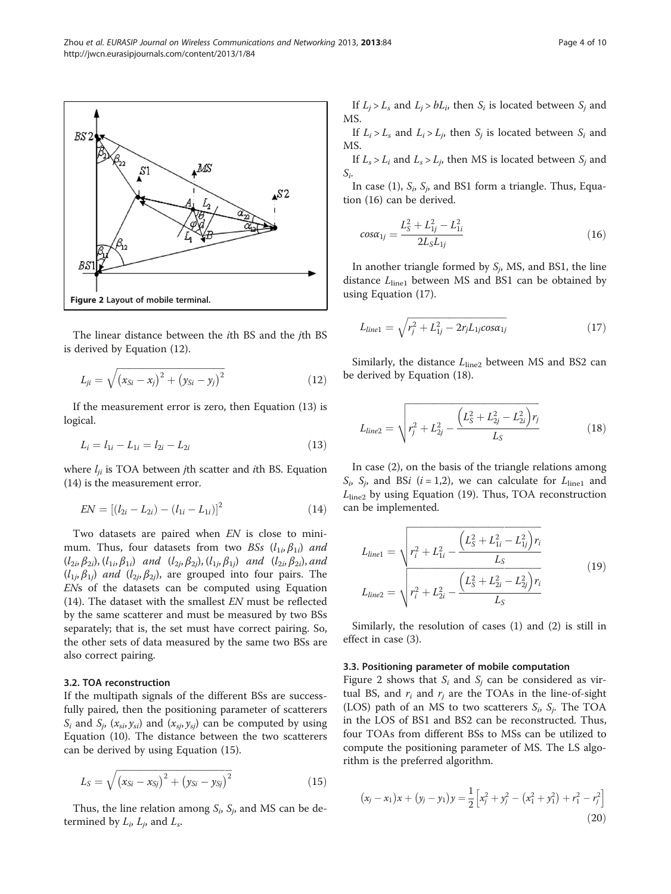The linear distance between the ith BS and the jth BS is derived by Equation (12).

$$
L_{ji} = \sqrt{(x_{Si} - x_j)^2 + (y_{Si} - y_j)^2}
$$
 (12)

If the measurement error is zero, then Equation (13) is logical.

$$
L_i = l_{1i} - L_{1i} = l_{2i} - L_{2i}
$$
\n(13)

where  $l_{ii}$  is TOA between *j*th scatter and *i*th BS. Equation (14) is the measurement error.

$$
EN = [(l_{2i} - L_{2i}) - (l_{1i} - L_{1i})]^2
$$
\n(14)

Two datasets are paired when EN is close to minimum. Thus, four datasets from two BSs  $(l_{1i}, \beta_{1i})$  and  $(l_{2i}, \beta_{2i})$ ,  $(l_{1i}, \beta_{1i})$  and  $(l_{2i}, \beta_{2i})$ ,  $(l_{1i}, \beta_{1i})$  and  $(l_{2i}, \beta_{2i})$ , and  $(l_{1j}, \beta_{1j})$  and  $(l_{2j}, \beta_{2j})$ , are grouped into four pairs. The ENs of the datasets can be computed using Equation (14). The dataset with the smallest EN must be reflected by the same scatterer and must be measured by two BSs separately; that is, the set must have correct pairing. So, the other sets of data measured by the same two BSs are also correct pairing.

## 3.2. TOA reconstruction

If the multipath signals of the different BSs are successfully paired, then the positioning parameter of scatterers  $S_i$  and  $S_j$ ,  $(x_{si}, y_{si})$  and  $(x_{si}, y_{si})$  can be computed by using Equation ([10](#page-2-0)). The distance between the two scatterers can be derived by using Equation (15).

$$
L_{S} = \sqrt{(x_{Si} - x_{Sj})^{2} + (y_{Si} - y_{Sj})^{2}}
$$
\n(15)

Thus, the line relation among  $S_i$ ,  $S_j$ , and MS can be determined by  $L_i$ ,  $L_j$ , and  $L_s$ .

If  $L_i > L_s$  and  $L_i > bL_i$ , then  $S_i$  is located between  $S_i$  and MS.

If  $L_i > L_s$  and  $L_i > L_j$ , then  $S_i$  is located between  $S_i$  and MS.

If  $L_s > L_i$  and  $L_s > L_i$ , then MS is located between  $S_i$  and  $S_i$ .

In case (1),  $S_i$ ,  $S_j$ , and BS1 form a triangle. Thus, Equation (16) can be derived.

$$
cos\alpha_{1j} = \frac{L_S^2 + L_{1j}^2 - L_{1i}^2}{2L_S L_{1j}}
$$
\n(16)

In another triangle formed by  $S_i$ , MS, and BS1, the line distance  $L<sub>line1</sub>$  between MS and BS1 can be obtained by using Equation (17).

$$
L_{line1} = \sqrt{r_j^2 + L_{1j}^2 - 2r_j L_{1j} \cos \alpha_{1j}} \tag{17}
$$

Similarly, the distance  $L<sub>line2</sub>$  between MS and BS2 can be derived by Equation (18).

$$
L_{line2} = \sqrt{r_j^2 + L_{2j}^2 - \frac{\left(L_S^2 + L_{2j}^2 - L_{2i}^2\right)r_j}{L_S}}
$$
(18)

In case (2), on the basis of the triangle relations among  $S_i$ ,  $S_j$ , and BSi (i = 1,2), we can calculate for  $L_{\text{line1}}$  and  $L<sub>line2</sub>$  by using Equation (19). Thus, TOA reconstruction can be implemented.

$$
L_{line1} = \sqrt{r_i^2 + L_{1i}^2 - \frac{\left(L_S^2 + L_{1i}^2 - L_{1j}^2\right)r_i}{L_S}}
$$
  
\n
$$
L_{line2} = \sqrt{r_i^2 + L_{2i}^2 - \frac{\left(L_S^2 + L_{2i}^2 - L_{2j}^2\right)r_i}{L_S}}
$$
\n(19)

Similarly, the resolution of cases (1) and (2) is still in effect in case (3).

#### 3.3. Positioning parameter of mobile computation

Figure 2 shows that  $S_i$  and  $S_j$  can be considered as virtual BS, and  $r_i$  and  $r_j$  are the TOAs in the line-of-sight (LOS) path of an MS to two scatterers  $S_i$ ,  $S_j$ . The TOA in the LOS of BS1 and BS2 can be reconstructed. Thus, four TOAs from different BSs to MSs can be utilized to compute the positioning parameter of MS. The LS algorithm is the preferred algorithm.

$$
(x_j - x_1)x + (y_j - y_1)y = \frac{1}{2} \left[ x_j^2 + y_j^2 - (x_1^2 + y_1^2) + r_1^2 - r_j^2 \right]
$$
\n(20)

<span id="page-3-0"></span>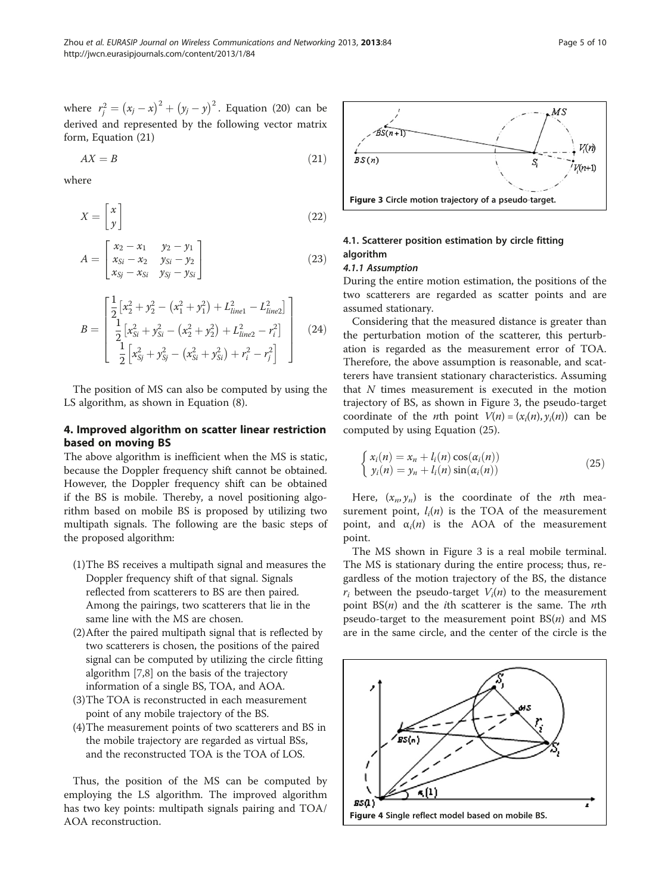<span id="page-4-0"></span>where  $r_j^2 = (x_j - x)^2 + (y_j - y)^2$ . Equation ([20\)](#page-3-0) can be derived and represented by the following vector matrix form, Equation (21)

$$
AX = B \tag{21}
$$

where

$$
X = \begin{bmatrix} x \\ y \end{bmatrix} \tag{22}
$$

$$
A = \begin{bmatrix} x_2 - x_1 & y_2 - y_1 \\ x_{Si} - x_2 & y_{Si} - y_2 \\ x_{Si} - x_{Si} & y_{Si} - y_{Si} \end{bmatrix}
$$
 (23)

$$
B = \begin{bmatrix} \frac{1}{2} \left[ x_2^2 + y_2^2 - (x_1^2 + y_1^2) + L_{line1}^2 - L_{line2}^2 \right] \\ \frac{1}{2} \left[ x_{Si}^2 + y_{Si}^2 - (x_2^2 + y_2^2) + L_{line2}^2 - r_i^2 \right] \\ \frac{1}{2} \left[ x_{Si}^2 + y_{Si}^2 - (x_{Si}^2 + y_{Si}^2) + r_i^2 - r_j^2 \right] \end{bmatrix}
$$
(24)

The position of MS can also be computed by using the LS algorithm, as shown in Equation [\(8](#page-2-0)).

# 4. Improved algorithm on scatter linear restriction based on moving BS

The above algorithm is inefficient when the MS is static, because the Doppler frequency shift cannot be obtained. However, the Doppler frequency shift can be obtained if the BS is mobile. Thereby, a novel positioning algorithm based on mobile BS is proposed by utilizing two multipath signals. The following are the basic steps of the proposed algorithm:

- (1)The BS receives a multipath signal and measures the Doppler frequency shift of that signal. Signals reflected from scatterers to BS are then paired. Among the pairings, two scatterers that lie in the same line with the MS are chosen.
- (2)After the paired multipath signal that is reflected by two scatterers is chosen, the positions of the paired signal can be computed by utilizing the circle fitting algorithm [\[7,8](#page-9-0)] on the basis of the trajectory information of a single BS, TOA, and AOA.
- (3)The TOA is reconstructed in each measurement point of any mobile trajectory of the BS.
- (4)The measurement points of two scatterers and BS in the mobile trajectory are regarded as virtual BSs, and the reconstructed TOA is the TOA of LOS.

Thus, the position of the MS can be computed by employing the LS algorithm. The improved algorithm has two key points: multipath signals pairing and TOA/ AOA reconstruction.



### 4.1. Scatterer position estimation by circle fitting algorithm

#### 4.1.1 Assumption

During the entire motion estimation, the positions of the two scatterers are regarded as scatter points and are assumed stationary.

Considering that the measured distance is greater than the perturbation motion of the scatterer, this perturbation is regarded as the measurement error of TOA. Therefore, the above assumption is reasonable, and scatterers have transient stationary characteristics. Assuming that  $N$  times measurement is executed in the motion trajectory of BS, as shown in Figure 3, the pseudo-target coordinate of the *n*th point  $V(n)=(x_i(n), y_i(n))$  can be computed by using Equation (25).

$$
\begin{cases}\n x_i(n) = x_n + l_i(n) \cos(\alpha_i(n)) \\
 y_i(n) = y_n + l_i(n) \sin(\alpha_i(n))\n\end{cases}
$$
\n(25)

Here,  $(x_n, y_n)$  is the coordinate of the *n*th measurement point,  $l_i(n)$  is the TOA of the measurement point, and  $\alpha_i(n)$  is the AOA of the measurement point.

The MS shown in Figure 3 is a real mobile terminal. The MS is stationary during the entire process; thus, regardless of the motion trajectory of the BS, the distance  $r_i$  between the pseudo-target  $V_i(n)$  to the measurement point  $BS(n)$  and the *i*th scatterer is the same. The *n*th pseudo-target to the measurement point  $BS(n)$  and MS are in the same circle, and the center of the circle is the

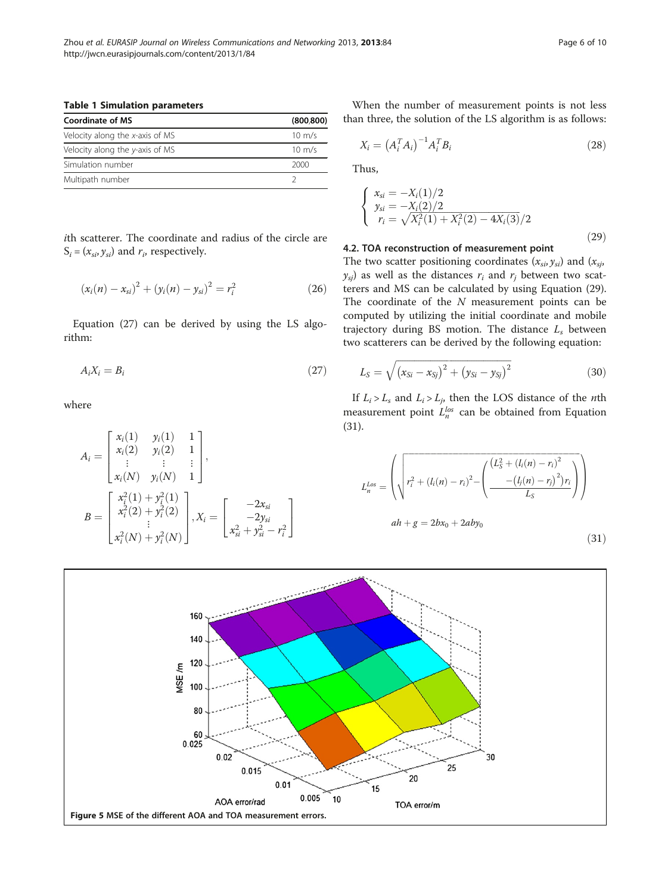<span id="page-5-0"></span>Table 1 Simulation parameters

| Coordinate of MS                | (800.800)        |
|---------------------------------|------------------|
| Velocity along the x-axis of MS | $10 \text{ m/s}$ |
| Velocity along the y-axis of MS | $10 \text{ m/s}$ |
| Simulation number               | 2000             |
| Multipath number                |                  |

ith scatterer. The coordinate and radius of the circle are  $S_i = (x_{si}, y_{si})$  and  $r_i$ , respectively.

$$
(x_i(n) - x_{si})^2 + (y_i(n) - y_{si})^2 = r_i^2
$$
 (26)

Equation (27) can be derived by using the LS algorithm:

$$
A_i X_i = B_i \tag{27}
$$

where

$$
A_{i} = \begin{bmatrix} x_{i}(1) & y_{i}(1) & 1 \\ x_{i}(2) & y_{i}(2) & 1 \\ \vdots & \vdots & \vdots \\ x_{i}(N) & y_{i}(N) & 1 \end{bmatrix},
$$
  
\n
$$
B = \begin{bmatrix} x_{i}^{2}(1) + y_{i}^{2}(1) \\ x_{i}^{2}(2) + y_{i}^{2}(2) \\ \vdots \\ x_{i}^{2}(N) + y_{i}^{2}(N) \end{bmatrix}, X_{i} = \begin{bmatrix} -2x_{si} \\ -2y_{si} \\ x_{si}^{2} + y_{si}^{2} - r_{i}^{2} \end{bmatrix}
$$

When the number of measurement points is not less than three, the solution of the LS algorithm is as follows:

$$
X_i = \left(A_i^T A_i\right)^{-1} A_i^T B_i \tag{28}
$$

Thus,

$$
\begin{cases}\nx_{si} = -X_i(1)/2 \\
y_{si} = -X_i(2)/2 \\
r_i = \sqrt{X_i^2(1) + X_i^2(2) - 4X_i(3)}/2\n\end{cases}
$$
\n(29)

#### 4.2. TOA reconstruction of measurement point

The two scatter positioning coordinates  $(x_{si}, y_{si})$  and  $(x_{si},$  $y_{si}$ ) as well as the distances  $r_i$  and  $r_j$  between two scatterers and MS can be calculated by using Equation (29). The coordinate of the N measurement points can be computed by utilizing the initial coordinate and mobile trajectory during BS motion. The distance  $L_s$  between two scatterers can be derived by the following equation:

$$
L_{S} = \sqrt{(x_{Si} - x_{Sj})^{2} + (y_{Si} - y_{Sj})^{2}}
$$
 (30)

If  $L_i > L_s$  and  $L_i > L_j$ , then the LOS distance of the *n*th measurement point  $L_n^{los}$  can be obtained from Equation (31).

$$
L_n^{Los} = \left(\sqrt{r_i^2 + (l_i(n) - r_i)^2 - \left(\frac{(L_S^2 + (l_i(n) - r_i)^2)}{-(l_j(n) - r_j)^2)r_i}\right)}\right)
$$
  
 
$$
ah + g = 2bx_0 + 2aby_0
$$
 (31)

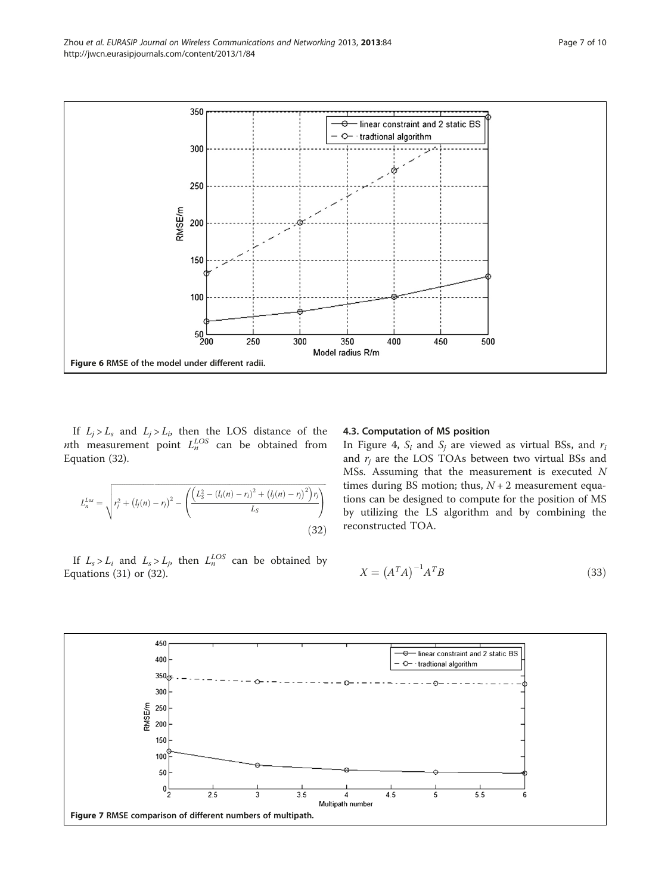<span id="page-6-0"></span>

If  $L_j > L_s$  and  $L_j > L_i$ , then the LOS distance of the *nth* measurement point  $L_n^{LOS}$  can be obtained from Equation (32).

$$
L_n^{Loss} = \sqrt{r_j^2 + (l_j(n) - r_j)^2 - \left(\frac{(L_S^2 - (l_i(n) - r_i)^2 + (l_j(n) - r_j)^2)r_j}{L_S}\right)}
$$
(32)

If  $L_s > L_i$  and  $L_s > L_j$ , then  $L_n^{LOS}$  can be obtained by Equations [\(31](#page-5-0)) or (32).

#### 4.3. Computation of MS position

In Figure [4,](#page-4-0)  $S_i$  and  $S_i$  are viewed as virtual BSs, and  $r_i$ and  $r_i$  are the LOS TOAs between two virtual BSs and MSs. Assuming that the measurement is executed N times during BS motion; thus,  $N + 2$  measurement equations can be designed to compute for the position of MS by utilizing the LS algorithm and by combining the reconstructed TOA.

$$
X = \left(A^T A\right)^{-1} A^T B \tag{33}
$$

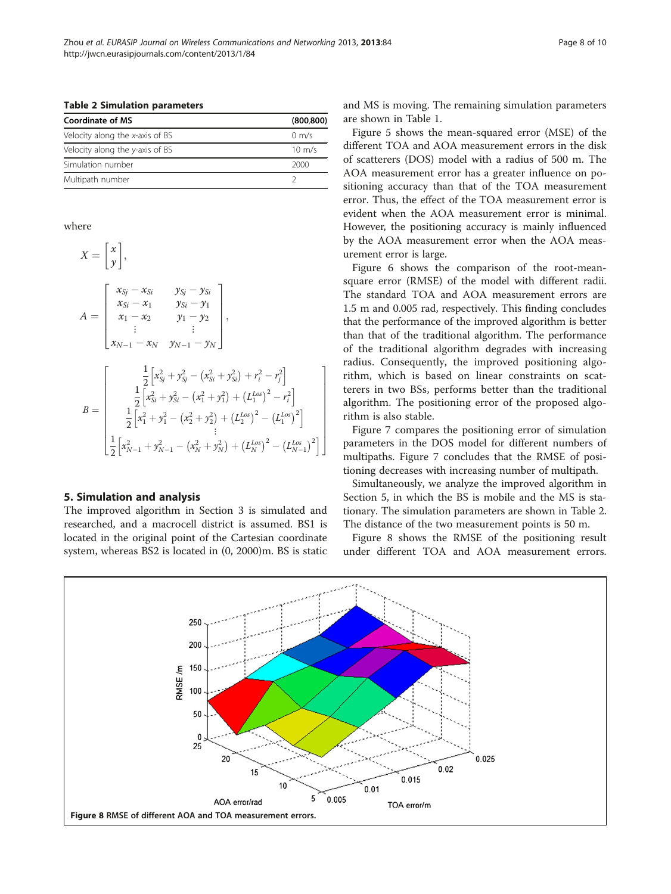<span id="page-7-0"></span>Table 2 Simulation parameters

| <b>Coordinate of MS</b>         | (800.800)        |
|---------------------------------|------------------|
| Velocity along the x-axis of BS | $0 \text{ m/s}$  |
| Velocity along the y-axis of BS | $10 \text{ m/s}$ |
| Simulation number               | 2000             |
| Multipath number                |                  |

where

$$
X = \begin{bmatrix} x \\ y \end{bmatrix},
$$
  
\n
$$
A = \begin{bmatrix} x_{Sj} - x_{Si} & y_{Sj} - y_{Si} \\ x_{Si} - x_1 & y_{Si} - y_1 \\ x_1 - x_2 & y_1 - y_2 \\ \vdots & \vdots \\ x_{N-1} - x_N & y_{N-1} - y_N \end{bmatrix},
$$
  
\n
$$
B = \begin{bmatrix} \frac{1}{2} \left[ x_{Si}^2 + y_{Si}^2 - (x_{Si}^2 + y_{Si}^2) + r_i^2 - r_j^2 \right] \\ \frac{1}{2} \left[ x_{Si}^2 + y_{Si}^2 - (x_1^2 + y_1^2) + (L_1^{LoS})^2 - r_i^2 \right] \\ \frac{1}{2} \left[ x_1^2 + y_1^2 - (x_2^2 + y_2^2) + (L_2^{LoS})^2 - (L_1^{LoS})^2 \right] \\ \vdots \\ \frac{1}{2} \left[ x_{N-1}^2 + y_{N-1}^2 - (x_N^2 + y_N^2) + (L_N^{LoS})^2 - (L_{N-1}^{LoS})^2 \right] \end{bmatrix}
$$

#### 5. Simulation and analysis

The improved algorithm in Section [3](#page-2-0) is simulated and researched, and a macrocell district is assumed. BS1 is located in the original point of the Cartesian coordinate system, whereas BS2 is located in (0, 2000)m. BS is static and MS is moving. The remaining simulation parameters are shown in Table [1](#page-5-0).

Figure [5](#page-5-0) shows the mean-squared error (MSE) of the different TOA and AOA measurement errors in the disk of scatterers (DOS) model with a radius of 500 m. The AOA measurement error has a greater influence on positioning accuracy than that of the TOA measurement error. Thus, the effect of the TOA measurement error is evident when the AOA measurement error is minimal. However, the positioning accuracy is mainly influenced by the AOA measurement error when the AOA measurement error is large.

Figure [6](#page-6-0) shows the comparison of the root-meansquare error (RMSE) of the model with different radii. The standard TOA and AOA measurement errors are 1.5 m and 0.005 rad, respectively. This finding concludes that the performance of the improved algorithm is better than that of the traditional algorithm. The performance of the traditional algorithm degrades with increasing radius. Consequently, the improved positioning algorithm, which is based on linear constraints on scatterers in two BSs, performs better than the traditional algorithm. The positioning error of the proposed algorithm is also stable.

Figure [7](#page-6-0) compares the positioning error of simulation parameters in the DOS model for different numbers of multipaths. Figure [7](#page-6-0) concludes that the RMSE of positioning decreases with increasing number of multipath.

Simultaneously, we analyze the improved algorithm in Section 5, in which the BS is mobile and the MS is stationary. The simulation parameters are shown in Table 2. The distance of the two measurement points is 50 m.

Figure 8 shows the RMSE of the positioning result under different TOA and AOA measurement errors.



1  $\overline{1}$  $\overline{1}$  $\overline{1}$  $\overline{1}$  $\overline{1}$  $\overline{1}$  $\overline{\phantom{a}}$  $\overline{1}$  $\overline{1}$  $\overline{1}$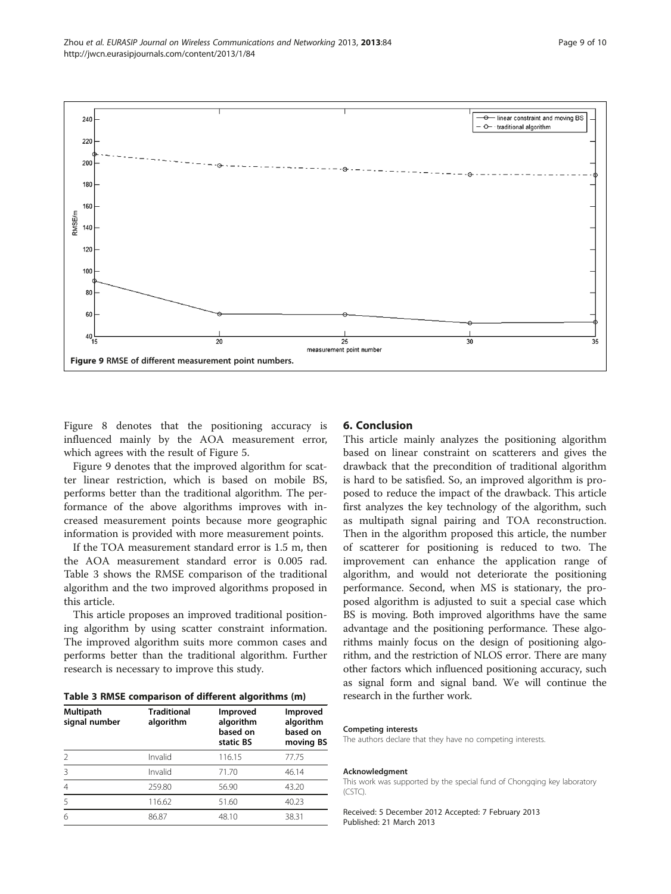

Figure [8](#page-7-0) denotes that the positioning accuracy is influenced mainly by the AOA measurement error, which agrees with the result of Figure [5](#page-5-0).

Figure 9 denotes that the improved algorithm for scatter linear restriction, which is based on mobile BS, performs better than the traditional algorithm. The performance of the above algorithms improves with increased measurement points because more geographic information is provided with more measurement points.

If the TOA measurement standard error is 1.5 m, then the AOA measurement standard error is 0.005 rad. Table 3 shows the RMSE comparison of the traditional algorithm and the two improved algorithms proposed in this article.

This article proposes an improved traditional positioning algorithm by using scatter constraint information. The improved algorithm suits more common cases and performs better than the traditional algorithm. Further research is necessary to improve this study.

|  |  | Table 3 RMSE comparison of different algorithms (m) |  |  |  |  |
|--|--|-----------------------------------------------------|--|--|--|--|
|--|--|-----------------------------------------------------|--|--|--|--|

| Multipath<br>signal number | <b>Traditional</b><br>algorithm | Improved<br>algorithm<br>based on<br>static BS | <b>Improved</b><br>algorithm<br>based on<br>moving BS |
|----------------------------|---------------------------------|------------------------------------------------|-------------------------------------------------------|
| $\mathcal{P}$              | Invalid                         | 116.15                                         | 77.75                                                 |
| Β                          | Invalid                         | 71.70                                          | 46.14                                                 |
| 4                          | 259.80                          | 56.90                                          | 43.20                                                 |
| 5                          | 116.62                          | 51.60                                          | 40.23                                                 |
| 6                          | 86.87                           | 48.10                                          | 38.31                                                 |

### 6. Conclusion

This article mainly analyzes the positioning algorithm based on linear constraint on scatterers and gives the drawback that the precondition of traditional algorithm is hard to be satisfied. So, an improved algorithm is proposed to reduce the impact of the drawback. This article first analyzes the key technology of the algorithm, such as multipath signal pairing and TOA reconstruction. Then in the algorithm proposed this article, the number of scatterer for positioning is reduced to two. The improvement can enhance the application range of algorithm, and would not deteriorate the positioning performance. Second, when MS is stationary, the proposed algorithm is adjusted to suit a special case which BS is moving. Both improved algorithms have the same advantage and the positioning performance. These algorithms mainly focus on the design of positioning algorithm, and the restriction of NLOS error. There are many other factors which influenced positioning accuracy, such as signal form and signal band. We will continue the research in the further work.

#### Competing interests

The authors declare that they have no competing interests.

#### Acknowledgment

This work was supported by the special fund of Chongqing key laboratory (CSTC).

Received: 5 December 2012 Accepted: 7 February 2013 Published: 21 March 2013